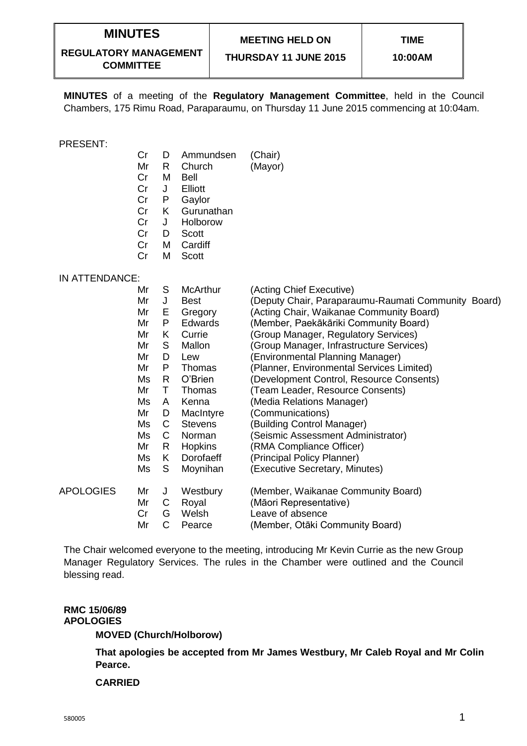## **MINUTES**

## **MEETING HELD ON**

**REGULATORY MANAGEMENT COMMITTEE**

**THURSDAY 11 JUNE 2015**

**MINUTES** of a meeting of the **Regulatory Management Committee**, held in the Council Chambers, 175 Rimu Road, Paraparaumu, on Thursday 11 June 2015 commencing at 10:04am.

#### PRESENT:

- Cr D Ammundsen (Chair)
- Mr R Church (Mayor)
- Cr M Bell
- Cr J Elliott<br>Cr P Gavlot
- Cr P Gaylor
- Cr K Gurunathan
- Cr J Holborow
- Cr D Scott
- Cr M Cardiff
- Cr M Scott

### IN ATTENDANCE:

|                  | Mr | S  | <b>McArthur</b> | (Acting Chief Executive)                            |
|------------------|----|----|-----------------|-----------------------------------------------------|
|                  | Mr | J  | Best            | (Deputy Chair, Paraparaumu-Raumati Community Board) |
|                  | Mr | Е  | Gregory         | (Acting Chair, Waikanae Community Board)            |
|                  | Mr | P  | Edwards         | (Member, Paekākāriki Community Board)               |
|                  | Mr | K  | Currie          | (Group Manager, Regulatory Services)                |
|                  | Mr | S  | Mallon          | (Group Manager, Infrastructure Services)            |
|                  | Mr | D  | Lew             | (Environmental Planning Manager)                    |
|                  | Mr | P  | Thomas          | (Planner, Environmental Services Limited)           |
|                  | Ms | R  | O'Brien         | (Development Control, Resource Consents)            |
|                  | Mr | т  | Thomas          | (Team Leader, Resource Consents)                    |
|                  | Ms | A  | Kenna           | (Media Relations Manager)                           |
|                  | Mr | D  | MacIntyre       | (Communications)                                    |
|                  | Ms | C  | <b>Stevens</b>  | (Building Control Manager)                          |
|                  | Ms | С  | Norman          | (Seismic Assessment Administrator)                  |
|                  | Mr | R  | <b>Hopkins</b>  | (RMA Compliance Officer)                            |
|                  | Ms | K. | Dorofaeff       | (Principal Policy Planner)                          |
|                  | Ms | S  | Moynihan        | (Executive Secretary, Minutes)                      |
| <b>APOLOGIES</b> | Mr | J  | Westbury        | (Member, Waikanae Community Board)                  |
|                  | Mr | C  | Royal           | (Māori Representative)                              |
|                  | Cr | G  | Welsh           | Leave of absence                                    |
|                  | Mr | С  | Pearce          | (Member, Otāki Community Board)                     |

The Chair welcomed everyone to the meeting, introducing Mr Kevin Currie as the new Group Manager Regulatory Services. The rules in the Chamber were outlined and the Council blessing read.

#### **RMC 15/06/89 APOLOGIES**

**MOVED (Church/Holborow)**

**That apologies be accepted from Mr James Westbury, Mr Caleb Royal and Mr Colin Pearce.**

#### **CARRIED**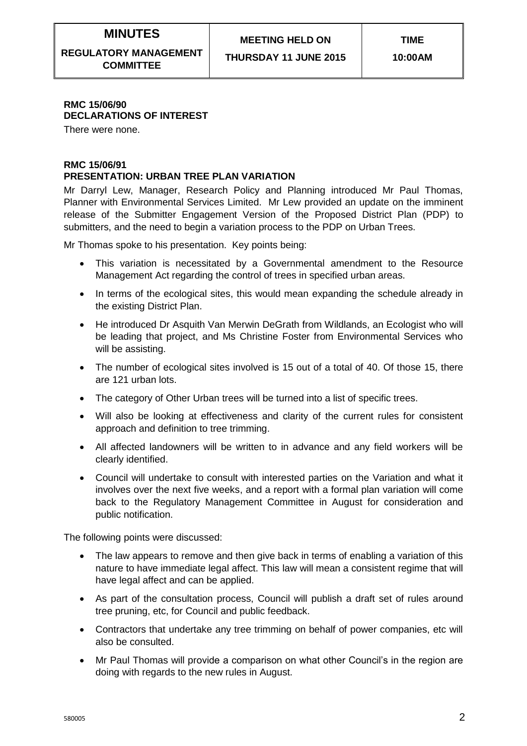# **MINUTES**

**REGULATORY MANAGEMENT COMMITTEE**

**THURSDAY 11 JUNE 2015**

## **RMC 15/06/90 DECLARATIONS OF INTEREST**

There were none.

#### **RMC 15/06/91 PRESENTATION: URBAN TREE PLAN VARIATION**

Mr Darryl Lew, Manager, Research Policy and Planning introduced Mr Paul Thomas, Planner with Environmental Services Limited. Mr Lew provided an update on the imminent release of the Submitter Engagement Version of the Proposed District Plan (PDP) to submitters, and the need to begin a variation process to the PDP on Urban Trees.

Mr Thomas spoke to his presentation. Key points being:

- This variation is necessitated by a Governmental amendment to the Resource Management Act regarding the control of trees in specified urban areas.
- In terms of the ecological sites, this would mean expanding the schedule already in the existing District Plan.
- He introduced Dr Asquith Van Merwin DeGrath from Wildlands, an Ecologist who will be leading that project, and Ms Christine Foster from Environmental Services who will be assisting.
- The number of ecological sites involved is 15 out of a total of 40. Of those 15, there are 121 urban lots.
- The category of Other Urban trees will be turned into a list of specific trees.
- Will also be looking at effectiveness and clarity of the current rules for consistent approach and definition to tree trimming.
- All affected landowners will be written to in advance and any field workers will be clearly identified.
- Council will undertake to consult with interested parties on the Variation and what it involves over the next five weeks, and a report with a formal plan variation will come back to the Regulatory Management Committee in August for consideration and public notification.

The following points were discussed:

- The law appears to remove and then give back in terms of enabling a variation of this nature to have immediate legal affect. This law will mean a consistent regime that will have legal affect and can be applied.
- As part of the consultation process, Council will publish a draft set of rules around tree pruning, etc, for Council and public feedback.
- Contractors that undertake any tree trimming on behalf of power companies, etc will also be consulted.
- Mr Paul Thomas will provide a comparison on what other Council's in the region are doing with regards to the new rules in August.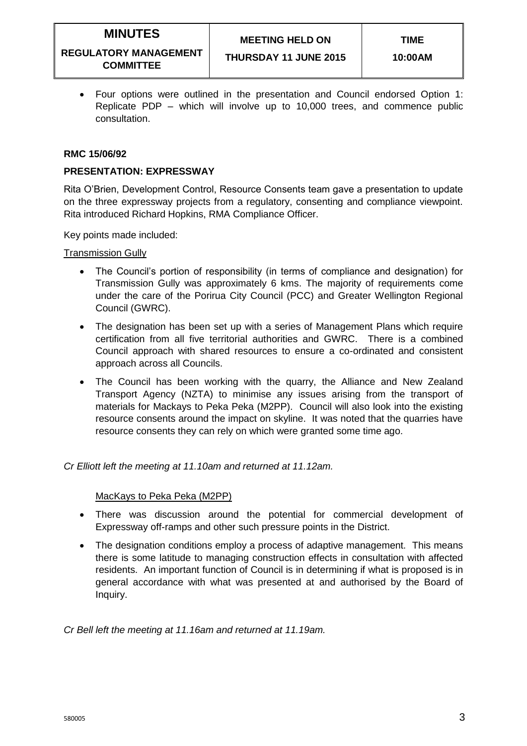## **MEETING HELD ON**

#### **REGULATORY MANAGEMENT COMMITTEE**

 Four options were outlined in the presentation and Council endorsed Option 1: Replicate PDP – which will involve up to 10,000 trees, and commence public consultation.

### **RMC 15/06/92**

### **PRESENTATION: EXPRESSWAY**

Rita O'Brien, Development Control, Resource Consents team gave a presentation to update on the three expressway projects from a regulatory, consenting and compliance viewpoint. Rita introduced Richard Hopkins, RMA Compliance Officer.

Key points made included:

Transmission Gully

- The Council's portion of responsibility (in terms of compliance and designation) for Transmission Gully was approximately 6 kms. The majority of requirements come under the care of the Porirua City Council (PCC) and Greater Wellington Regional Council (GWRC).
- The designation has been set up with a series of Management Plans which require certification from all five territorial authorities and GWRC. There is a combined Council approach with shared resources to ensure a co-ordinated and consistent approach across all Councils.
- The Council has been working with the quarry, the Alliance and New Zealand Transport Agency (NZTA) to minimise any issues arising from the transport of materials for Mackays to Peka Peka (M2PP). Council will also look into the existing resource consents around the impact on skyline. It was noted that the quarries have resource consents they can rely on which were granted some time ago.

*Cr Elliott left the meeting at 11.10am and returned at 11.12am.*

### MacKays to Peka Peka (M2PP)

- There was discussion around the potential for commercial development of Expressway off-ramps and other such pressure points in the District.
- The designation conditions employ a process of adaptive management. This means there is some latitude to managing construction effects in consultation with affected residents. An important function of Council is in determining if what is proposed is in general accordance with what was presented at and authorised by the Board of Inquiry.

*Cr Bell left the meeting at 11.16am and returned at 11.19am.*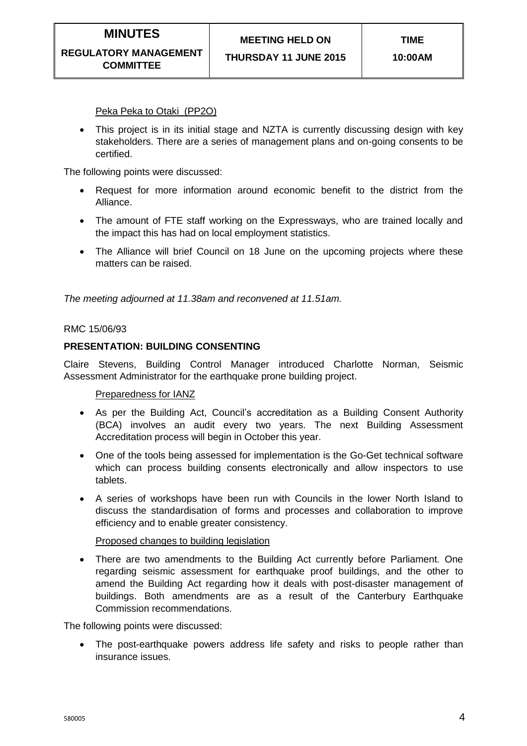Peka Peka to Otaki (PP2O)

• This project is in its initial stage and NZTA is currently discussing design with key stakeholders. There are a series of management plans and on-going consents to be certified.

The following points were discussed:

- Request for more information around economic benefit to the district from the Alliance.
- The amount of FTE staff working on the Expressways, who are trained locally and the impact this has had on local employment statistics.
- The Alliance will brief Council on 18 June on the upcoming projects where these matters can be raised.

*The meeting adjourned at 11.38am and reconvened at 11.51am.*

#### RMC 15/06/93

#### **PRESENTATION: BUILDING CONSENTING**

Claire Stevens, Building Control Manager introduced Charlotte Norman, Seismic Assessment Administrator for the earthquake prone building project.

Preparedness for IANZ

- As per the Building Act, Council's accreditation as a Building Consent Authority (BCA) involves an audit every two years. The next Building Assessment Accreditation process will begin in October this year.
- One of the tools being assessed for implementation is the Go-Get technical software which can process building consents electronically and allow inspectors to use tablets.
- A series of workshops have been run with Councils in the lower North Island to discuss the standardisation of forms and processes and collaboration to improve efficiency and to enable greater consistency.

#### Proposed changes to building legislation

 There are two amendments to the Building Act currently before Parliament. One regarding seismic assessment for earthquake proof buildings, and the other to amend the Building Act regarding how it deals with post-disaster management of buildings. Both amendments are as a result of the Canterbury Earthquake Commission recommendations.

The following points were discussed:

• The post-earthquake powers address life safety and risks to people rather than insurance issues.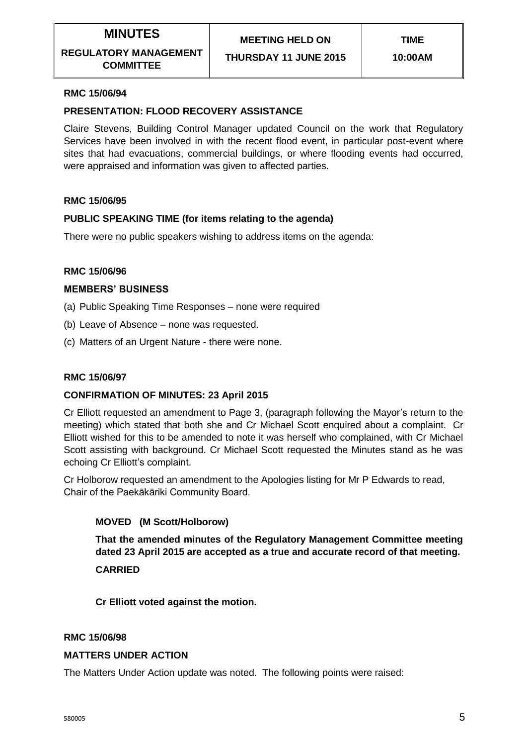**THURSDAY 11 JUNE 2015**

### **RMC 15/06/94**

### **PRESENTATION: FLOOD RECOVERY ASSISTANCE**

Claire Stevens, Building Control Manager updated Council on the work that Regulatory Services have been involved in with the recent flood event, in particular post-event where sites that had evacuations, commercial buildings, or where flooding events had occurred, were appraised and information was given to affected parties.

### **RMC 15/06/95**

### **PUBLIC SPEAKING TIME (for items relating to the agenda)**

There were no public speakers wishing to address items on the agenda:

### **RMC 15/06/96**

### **MEMBERS' BUSINESS**

- (a) Public Speaking Time Responses none were required
- (b) Leave of Absence none was requested.
- (c) Matters of an Urgent Nature there were none.

### **RMC 15/06/97**

### **CONFIRMATION OF MINUTES: 23 April 2015**

Cr Elliott requested an amendment to Page 3, (paragraph following the Mayor's return to the meeting) which stated that both she and Cr Michael Scott enquired about a complaint. Cr Elliott wished for this to be amended to note it was herself who complained, with Cr Michael Scott assisting with background. Cr Michael Scott requested the Minutes stand as he was echoing Cr Elliott's complaint.

Cr Holborow requested an amendment to the Apologies listing for Mr P Edwards to read, Chair of the Paekākāriki Community Board.

### **MOVED (M Scott/Holborow)**

**That the amended minutes of the Regulatory Management Committee meeting dated 23 April 2015 are accepted as a true and accurate record of that meeting. CARRIED**

**Cr Elliott voted against the motion.**

#### **RMC 15/06/98**

#### **MATTERS UNDER ACTION**

The Matters Under Action update was noted. The following points were raised: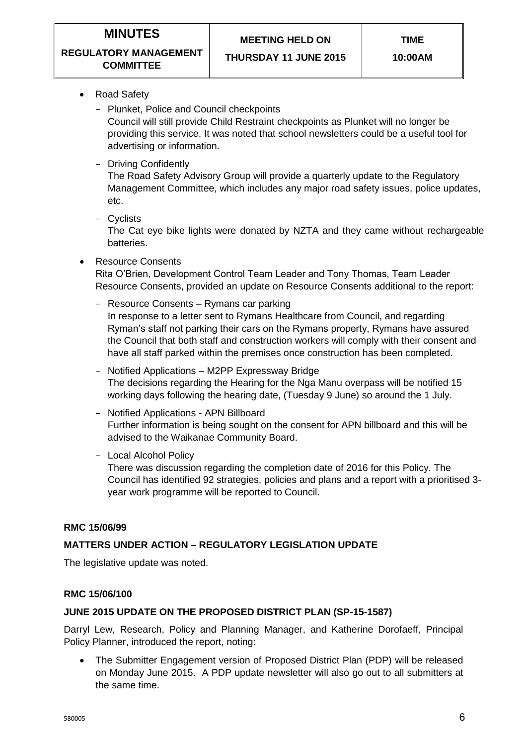**TIME**

#### **REGULATORY MANAGEMENT COMMITTEE**

**THURSDAY 11 JUNE 2015**

- Road Safety
	- Plunket, Police and Council checkpoints

Council will still provide Child Restraint checkpoints as Plunket will no longer be providing this service. It was noted that school newsletters could be a useful tool for advertising or information.

- Driving Confidently

The Road Safety Advisory Group will provide a quarterly update to the Regulatory Management Committee, which includes any major road safety issues, police updates, etc.

- Cyclists

The Cat eye bike lights were donated by NZTA and they came without rechargeable batteries.

Resource Consents

Rita O'Brien, Development Control Team Leader and Tony Thomas, Team Leader Resource Consents, provided an update on Resource Consents additional to the report:

- Resource Consents Rymans car parking In response to a letter sent to Rymans Healthcare from Council, and regarding Ryman's staff not parking their cars on the Rymans property, Rymans have assured the Council that both staff and construction workers will comply with their consent and have all staff parked within the premises once construction has been completed.
- Notified Applications M2PP Expressway Bridge The decisions regarding the Hearing for the Nga Manu overpass will be notified 15 working days following the hearing date, (Tuesday 9 June) so around the 1 July.
- Notified Applications APN Billboard Further information is being sought on the consent for APN billboard and this will be advised to the Waikanae Community Board.
- Local Alcohol Policy

There was discussion regarding the completion date of 2016 for this Policy. The Council has identified 92 strategies, policies and plans and a report with a prioritised 3 year work programme will be reported to Council.

## **RMC 15/06/99**

## **MATTERS UNDER ACTION – REGULATORY LEGISLATION UPDATE**

The legislative update was noted.

## **RMC 15/06/100**

## **JUNE 2015 UPDATE ON THE PROPOSED DISTRICT PLAN (SP-15-1587)**

Darryl Lew, Research, Policy and Planning Manager, and Katherine Dorofaeff, Principal Policy Planner, introduced the report, noting:

 The Submitter Engagement version of Proposed District Plan (PDP) will be released on Monday June 2015. A PDP update newsletter will also go out to all submitters at the same time.